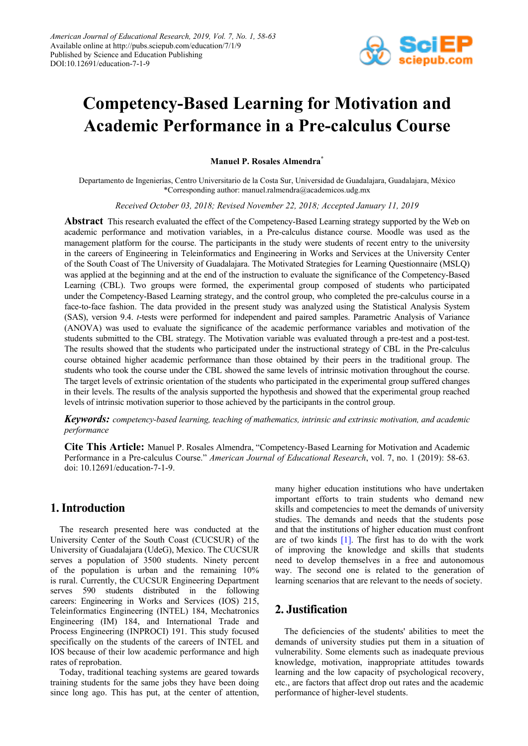

# **Competency-Based Learning for Motivation and Academic Performance in a Pre-calculus Course**

**Manuel P. Rosales Almendra\***

Departamento de Ingenierías, Centro Universitario de la Costa Sur, Universidad de Guadalajara, Guadalajara, México \*Corresponding author: manuel.ralmendra@academicos.udg.mx

*Received October 03, 2018; Revised November 22, 2018; Accepted January 11, 2019*

**Abstract** This research evaluated the effect of the Competency-Based Learning strategy supported by the Web on academic performance and motivation variables, in a Pre-calculus distance course. Moodle was used as the management platform for the course. The participants in the study were students of recent entry to the university in the careers of Engineering in Teleinformatics and Engineering in Works and Services at the University Center of the South Coast of The University of Guadalajara. The Motivated Strategies for Learning Questionnaire (MSLQ) was applied at the beginning and at the end of the instruction to evaluate the significance of the Competency-Based Learning (CBL). Two groups were formed, the experimental group composed of students who participated under the Competency-Based Learning strategy, and the control group, who completed the pre-calculus course in a face-to-face fashion. The data provided in the present study was analyzed using the Statistical Analysis System (SAS), version 9.4. *t*-tests were performed for independent and paired samples. Parametric Analysis of Variance (ANOVA) was used to evaluate the significance of the academic performance variables and motivation of the students submitted to the CBL strategy. The Motivation variable was evaluated through a pre-test and a post-test. The results showed that the students who participated under the instructional strategy of CBL in the Pre-calculus course obtained higher academic performance than those obtained by their peers in the traditional group. The students who took the course under the CBL showed the same levels of intrinsic motivation throughout the course. The target levels of extrinsic orientation of the students who participated in the experimental group suffered changes in their levels. The results of the analysis supported the hypothesis and showed that the experimental group reached levels of intrinsic motivation superior to those achieved by the participants in the control group.

*Keywords: competency-based learning, teaching of mathematics, intrinsic and extrinsic motivation, and academic performance*

**Cite This Article:** Manuel P. Rosales Almendra, "Competency-Based Learning for Motivation and Academic Performance in a Pre-calculus Course." *American Journal of Educational Research*, vol. 7, no. 1 (2019): 58-63. doi: 10.12691/education-7-1-9.

#### **1. Introduction**

The research presented here was conducted at the University Center of the South Coast (CUCSUR) of the University of Guadalajara (UdeG), Mexico. The CUCSUR serves a population of 3500 students. Ninety percent of the population is urban and the remaining 10% is rural. Currently, the CUCSUR Engineering Department serves 590 students distributed in the following careers: Engineering in Works and Services (IOS) 215, Teleinformatics Engineering (INTEL) 184, Mechatronics Engineering (IM) 184, and International Trade and Process Engineering (INPROCI) 191. This study focused specifically on the students of the careers of INTEL and IOS because of their low academic performance and high rates of reprobation.

Today, traditional teaching systems are geared towards training students for the same jobs they have been doing since long ago. This has put, at the center of attention, many higher education institutions who have undertaken important efforts to train students who demand new skills and competencies to meet the demands of university studies. The demands and needs that the students pose and that the institutions of higher education must confront are of two kinds [\[1\].](#page-4-0) The first has to do with the work of improving the knowledge and skills that students need to develop themselves in a free and autonomous way. The second one is related to the generation of learning scenarios that are relevant to the needs of society.

## **2. Justification**

The deficiencies of the students' abilities to meet the demands of university studies put them in a situation of vulnerability. Some elements such as inadequate previous knowledge, motivation, inappropriate attitudes towards learning and the low capacity of psychological recovery, etc., are factors that affect drop out rates and the academic performance of higher-level students.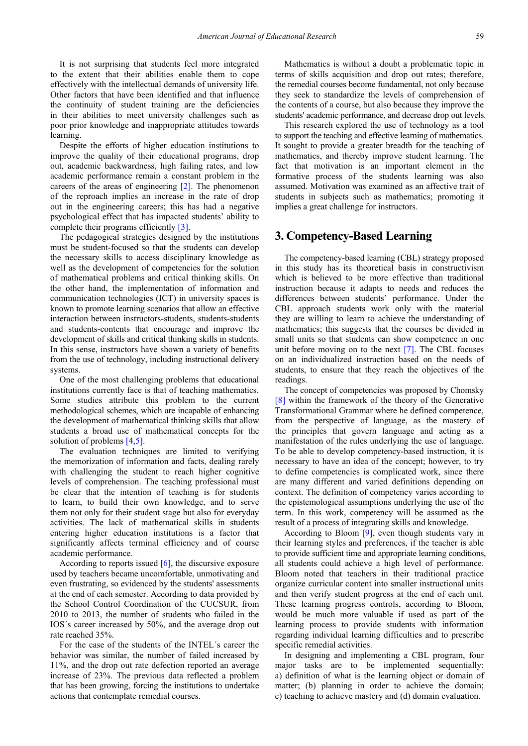It is not surprising that students feel more integrated to the extent that their abilities enable them to cope effectively with the intellectual demands of university life. Other factors that have been identified and that influence the continuity of student training are the deficiencies in their abilities to meet university challenges such as poor prior knowledge and inappropriate attitudes towards learning.

Despite the efforts of higher education institutions to improve the quality of their educational programs, drop out, academic backwardness, high failing rates, and low academic performance remain a constant problem in the careers of the areas of engineering  $[2]$ . The phenomenon of the reproach implies an increase in the rate of drop out in the engineering careers; this has had a negative psychological effect that has impacted students' ability to complete their programs efficientl[y \[3\].](#page-4-2)

The pedagogical strategies designed by the institutions must be student-focused so that the students can develop the necessary skills to access disciplinary knowledge as well as the development of competencies for the solution of mathematical problems and critical thinking skills. On the other hand, the implementation of information and communication technologies (ICT) in university spaces is known to promote learning scenarios that allow an effective interaction between instructors-students, students-students and students-contents that encourage and improve the development of skills and critical thinking skills in students. In this sense, instructors have shown a variety of benefits from the use of technology, including instructional delivery systems.

One of the most challenging problems that educational institutions currently face is that of teaching mathematics. Some studies attribute this problem to the current methodological schemes, which are incapable of enhancing the development of mathematical thinking skills that allow students a broad use of mathematical concepts for the solution of problems [\[4,5\].](#page-4-3)

The evaluation techniques are limited to verifying the memorization of information and facts, dealing rarely with challenging the student to reach higher cognitive levels of comprehension. The teaching professional must be clear that the intention of teaching is for students to learn, to build their own knowledge, and to serve them not only for their student stage but also for everyday activities. The lack of mathematical skills in students entering higher education institutions is a factor that significantly affects terminal efficiency and of course academic performance.

According to reports issued  $[6]$ , the discursive exposure used by teachers became uncomfortable, unmotivating and even frustrating, so evidenced by the students' assessments at the end of each semester. According to data provided by the School Control Coordination of the CUCSUR, from 2010 to 2013, the number of students who failed in the IOS´s career increased by 50%, and the average drop out rate reached 35%.

For the case of the students of the INTEL´s career the behavior was similar, the number of failed increased by 11%, and the drop out rate defection reported an average increase of 23%. The previous data reflected a problem that has been growing, forcing the institutions to undertake actions that contemplate remedial courses.

Mathematics is without a doubt a problematic topic in terms of skills acquisition and drop out rates; therefore, the remedial courses become fundamental, not only because they seek to standardize the levels of comprehension of the contents of a course, but also because they improve the students' academic performance, and decrease drop out levels.

This research explored the use of technology as a tool to support the teaching and effective learning of mathematics. It sought to provide a greater breadth for the teaching of mathematics, and thereby improve student learning. The fact that motivation is an important element in the formative process of the students learning was also assumed. Motivation was examined as an affective trait of students in subjects such as mathematics; promoting it implies a great challenge for instructors.

#### **3. Competency-Based Learning**

The competency-based learning (CBL) strategy proposed in this study has its theoretical basis in constructivism which is believed to be more effective than traditional instruction because it adapts to needs and reduces the differences between students' performance. Under the CBL approach students work only with the material they are willing to learn to achieve the understanding of mathematics; this suggests that the courses be divided in small units so that students can show competence in one unit before moving on to the next [\[7\].](#page-5-1) The CBL focuses on an individualized instruction based on the needs of students, to ensure that they reach the objectives of the readings.

The concept of competencies was proposed by Chomsky [\[8\]](#page-5-2) within the framework of the theory of the Generative Transformational Grammar where he defined competence, from the perspective of language, as the mastery of the principles that govern language and acting as a manifestation of the rules underlying the use of language. To be able to develop competency-based instruction, it is necessary to have an idea of the concept; however, to try to define competencies is complicated work, since there are many different and varied definitions depending on context. The definition of competency varies according to the epistemological assumptions underlying the use of the term. In this work, competency will be assumed as the result of a process of integrating skills and knowledge.

According to Bloom  $[9]$ , even though students vary in their learning styles and preferences, if the teacher is able to provide sufficient time and appropriate learning conditions, all students could achieve a high level of performance. Bloom noted that teachers in their traditional practice organize curricular content into smaller instructional units and then verify student progress at the end of each unit. These learning progress controls, according to Bloom, would be much more valuable if used as part of the learning process to provide students with information regarding individual learning difficulties and to prescribe specific remedial activities.

In designing and implementing a CBL program, four major tasks are to be implemented sequentially: a) definition of what is the learning object or domain of matter; (b) planning in order to achieve the domain; c) teaching to achieve mastery and (d) domain evaluation.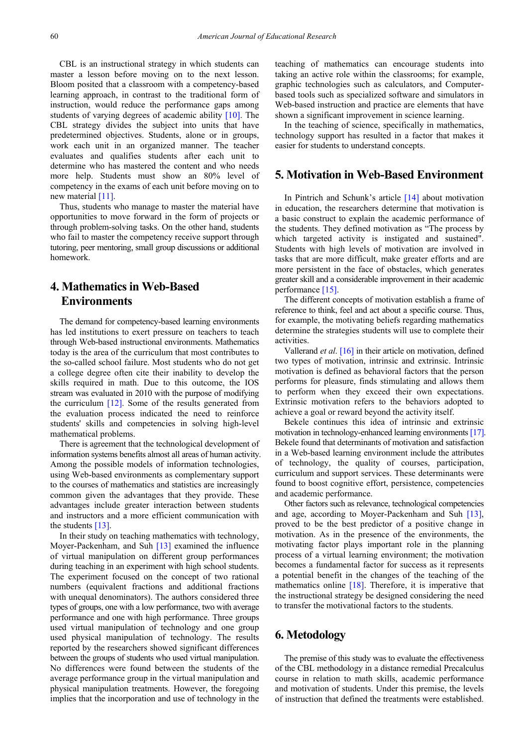CBL is an instructional strategy in which students can master a lesson before moving on to the next lesson. Bloom posited that a classroom with a competency-based learning approach, in contrast to the traditional form of instruction, would reduce the performance gaps among students of varying degrees of academic ability [\[10\].](#page-5-4) The CBL strategy divides the subject into units that have predetermined objectives. Students, alone or in groups, work each unit in an organized manner. The teacher evaluates and qualifies students after each unit to determine who has mastered the content and who needs more help. Students must show an 80% level of competency in the exams of each unit before moving on to new material  $[11]$ .

Thus, students who manage to master the material have opportunities to move forward in the form of projects or through problem-solving tasks. On the other hand, students who fail to master the competency receive support through tutoring, peer mentoring, small group discussions or additional homework.

## **4. Mathematics in Web-Based Environments**

The demand for competency-based learning environments has led institutions to exert pressure on teachers to teach through Web-based instructional environments. Mathematics today is the area of the curriculum that most contributes to the so-called school failure. Most students who do not get a college degree often cite their inability to develop the skills required in math. Due to this outcome, the IOS stream was evaluated in 2010 with the purpose of modifying the curriculum [\[12\].](#page-5-6) Some of the results generated from the evaluation process indicated the need to reinforce students' skills and competencies in solving high-level mathematical problems.

There is agreement that the technological development of information systems benefits almost all areas of human activity. Among the possible models of information technologies, using Web-based environments as complementary support to the courses of mathematics and statistics are increasingly common given the advantages that they provide. These advantages include greater interaction between students and instructors and a more efficient communication with the student[s \[13\].](#page-5-7)

In their study on teaching mathematics with technology, Moyer-Packenham, and Suh [\[13\]](#page-5-7) examined the influence of virtual manipulation on different group performances during teaching in an experiment with high school students. The experiment focused on the concept of two rational numbers (equivalent fractions and additional fractions with unequal denominators). The authors considered three types of groups, one with a low performance, two with average performance and one with high performance. Three groups used virtual manipulation of technology and one group used physical manipulation of technology. The results reported by the researchers showed significant differences between the groups of students who used virtual manipulation. No differences were found between the students of the average performance group in the virtual manipulation and physical manipulation treatments. However, the foregoing implies that the incorporation and use of technology in the teaching of mathematics can encourage students into taking an active role within the classrooms; for example, graphic technologies such as calculators, and Computerbased tools such as specialized software and simulators in Web-based instruction and practice are elements that have shown a significant improvement in science learning.

In the teaching of science, specifically in mathematics, technology support has resulted in a factor that makes it easier for students to understand concepts.

#### **5. Motivation in Web-Based Environment**

In Pintrich and Schunk's article [\[14\]](#page-5-8) about motivation in education, the researchers determine that motivation is a basic construct to explain the academic performance of the students. They defined motivation as "The process by which targeted activity is instigated and sustained". Students with high levels of motivation are involved in tasks that are more difficult, make greater efforts and are more persistent in the face of obstacles, which generates greater skill and a considerable improvement in their academic performance [\[15\].](#page-5-9)

The different concepts of motivation establish a frame of reference to think, feel and act about a specific course. Thus, for example, the motivating beliefs regarding mathematics determine the strategies students will use to complete their activities.

Vallerand *et al*. [\[16\]](#page-5-10) in their article on motivation, defined two types of motivation, intrinsic and extrinsic. Intrinsic motivation is defined as behavioral factors that the person performs for pleasure, finds stimulating and allows them to perform when they exceed their own expectations. Extrinsic motivation refers to the behaviors adopted to achieve a goal or reward beyond the activity itself.

Bekele continues this idea of intrinsic and extrinsic motivation in technology-enhanced learning environment[s \[17\].](#page-5-11) Bekele found that determinants of motivation and satisfaction in a Web-based learning environment include the attributes of technology, the quality of courses, participation, curriculum and support services. These determinants were found to boost cognitive effort, persistence, competencies and academic performance.

Other factors such as relevance, technological competencies and age, according to Moyer-Packenham and Suh [\[13\],](#page-5-7) proved to be the best predictor of a positive change in motivation. As in the presence of the environments, the motivating factor plays important role in the planning process of a virtual learning environment; the motivation becomes a fundamental factor for success as it represents a potential benefit in the changes of the teaching of the mathematics online [\[18\].](#page-5-12) Therefore, it is imperative that the instructional strategy be designed considering the need to transfer the motivational factors to the students.

#### **6. Metodology**

The premise of this study was to evaluate the effectiveness of the CBL methodology in a distance remedial Precalculus course in relation to math skills, academic performance and motivation of students. Under this premise, the levels of instruction that defined the treatments were established.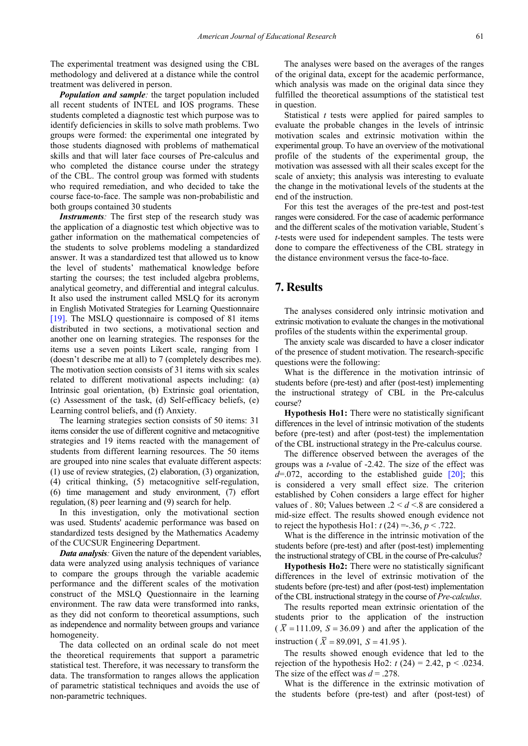The experimental treatment was designed using the CBL methodology and delivered at a distance while the control treatment was delivered in person.

*Population and sample*: the target population included all recent students of INTEL and IOS programs. These students completed a diagnostic test which purpose was to identify deficiencies in skills to solve math problems. Two groups were formed: the experimental one integrated by those students diagnosed with problems of mathematical skills and that will later face courses of Pre-calculus and who completed the distance course under the strategy of the CBL. The control group was formed with students who required remediation, and who decided to take the course face-to-face. The sample was non-probabilistic and both groups contained 30 students

*Instruments:* The first step of the research study was the application of a diagnostic test which objective was to gather information on the mathematical competencies of the students to solve problems modeling a standardized answer. It was a standardized test that allowed us to know the level of students' mathematical knowledge before starting the courses; the test included algebra problems, analytical geometry, and differential and integral calculus. It also used the instrument called MSLQ for its acronym in English Motivated Strategies for Learning Questionnaire [\[19\].](#page-5-13) The MSLQ questionnaire is composed of 81 items distributed in two sections, a motivational section and another one on learning strategies. The responses for the items use a seven points Likert scale, ranging from 1 (doesn't describe me at all) to 7 (completely describes me). The motivation section consists of 31 items with six scales related to different motivational aspects including: (a) Intrinsic goal orientation, (b) Extrinsic goal orientation, (c) Assessment of the task, (d) Self-efficacy beliefs, (e) Learning control beliefs, and (f) Anxiety.

The learning strategies section consists of 50 items: 31 items consider the use of different cognitive and metacognitive strategies and 19 items reacted with the management of students from different learning resources. The 50 items are grouped into nine scales that evaluate different aspects: (1) use of review strategies, (2) elaboration, (3) organization, (4) critical thinking, (5) metacognitive self-regulation, (6) time management and study environment, (7) effort regulation, (8) peer learning and (9) search for help.

In this investigation, only the motivational section was used. Students' academic performance was based on standardized tests designed by the Mathematics Academy of the CUCSUR Engineering Department.

*Data analysis*: Given the nature of the dependent variables, data were analyzed using analysis techniques of variance to compare the groups through the variable academic performance and the different scales of the motivation construct of the MSLQ Questionnaire in the learning environment. The raw data were transformed into ranks, as they did not conform to theoretical assumptions, such as independence and normality between groups and variance homogeneity.

The data collected on an ordinal scale do not meet the theoretical requirements that support a parametric statistical test. Therefore, it was necessary to transform the data. The transformation to ranges allows the application of parametric statistical techniques and avoids the use of non-parametric techniques.

The analyses were based on the averages of the ranges of the original data, except for the academic performance, which analysis was made on the original data since they fulfilled the theoretical assumptions of the statistical test in question.

Statistical *t* tests were applied for paired samples to evaluate the probable changes in the levels of intrinsic motivation scales and extrinsic motivation within the experimental group. To have an overview of the motivational profile of the students of the experimental group, the motivation was assessed with all their scales except for the scale of anxiety; this analysis was interesting to evaluate the change in the motivational levels of the students at the end of the instruction.

For this test the averages of the pre-test and post-test ranges were considered. For the case of academic performance and the different scales of the motivation variable, Student´s *t*-tests were used for independent samples. The tests were done to compare the effectiveness of the CBL strategy in the distance environment versus the face-to-face.

#### **7. Results**

The analyses considered only intrinsic motivation and extrinsic motivation to evaluate the changes in the motivational profiles of the students within the experimental group.

The anxiety scale was discarded to have a closer indicator of the presence of student motivation. The research-specific questions were the following:

What is the difference in the motivation intrinsic of students before (pre-test) and after (post-test) implementing the instructional strategy of CBL in the Pre-calculus course?

**Hypothesis Ho1:** There were no statistically significant differences in the level of intrinsic motivation of the students before (pre-test) and after (post-test) the implementation of the CBL instructional strategy in the Pre-calculus course.

The difference observed between the averages of the groups was a *t*-value of -2.42. The size of the effect was  $d=0.072$ , according to the established guide  $[20]$ ; this is considered a very small effect size. The criterion established by Cohen considers a large effect for higher values of . 80: Values between  $2 \le d \le 8$  are considered a mid-size effect. The results showed enough evidence not to reject the hypothesis Ho1:  $t(24) = .36, p < .722$ .

What is the difference in the intrinsic motivation of the students before (pre-test) and after (post-test) implementing the instructional strategy of CBL in the course of Pre-calculus?

**Hypothesis Ho2:** There were no statistically significant differences in the level of extrinsic motivation of the students before (pre-test) and after (post-test) implementation of the CBL instructional strategy in the course of *Pre-calculus*.

The results reported mean extrinsic orientation of the students prior to the application of the instruction  $(\overline{X} = 111.09, S = 36.09)$  and after the application of the instruction ( $\bar{X} = 89.091$ ,  $S = 41.95$ ).

The results showed enough evidence that led to the rejection of the hypothesis Ho2:  $t(24) = 2.42$ ,  $p < .0234$ . The size of the effect was  $d = 0.278$ .

What is the difference in the extrinsic motivation of the students before (pre-test) and after (post-test) of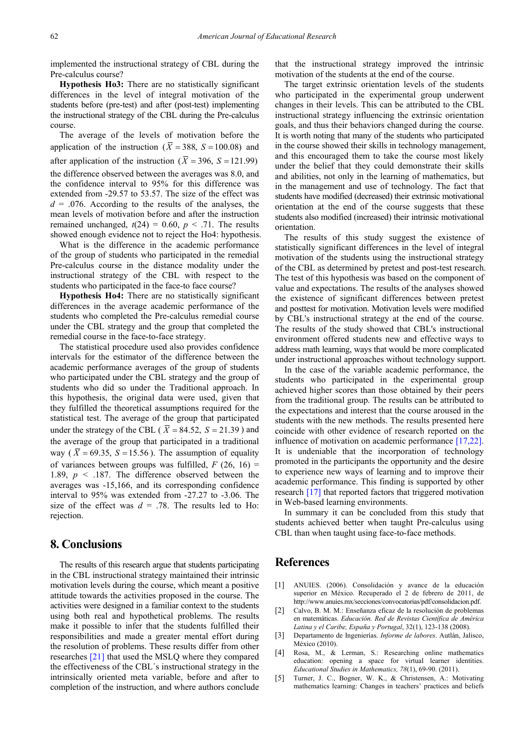implemented the instructional strategy of CBL during the Pre-calculus course?

**Hypothesis Ho3:** There are no statistically significant differences in the level of integral motivation of the students before (pre-test) and after (post-test) implementing the instructional strategy of the CBL during the Pre-calculus course.

The average of the levels of motivation before the application of the instruction ( $\overline{X}$  = 388, S = 100.08) and after application of the instruction ( $\overline{X}$  = 396, *S* = 121.99) the difference observed between the averages was 8.0, and the confidence interval to 95% for this difference was extended from -29.57 to 53.57. The size of the effect was  $d = 0.076$ . According to the results of the analyses, the mean levels of motivation before and after the instruction remained unchanged,  $t(24) = 0.60$ ,  $p < .71$ . The results showed enough evidence not to reject the Ho4: hypothesis.

What is the difference in the academic performance of the group of students who participated in the remedial Pre-calculus course in the distance modality under the instructional strategy of the CBL with respect to the students who participated in the face-to face course?

**Hypothesis Ho4:** There are no statistically significant differences in the average academic performance of the students who completed the Pre-calculus remedial course under the CBL strategy and the group that completed the remedial course in the face-to-face strategy.

The statistical procedure used also provides confidence intervals for the estimator of the difference between the academic performance averages of the group of students who participated under the CBL strategy and the group of students who did so under the Traditional approach. In this hypothesis, the original data were used, given that they fulfilled the theoretical assumptions required for the statistical test. The average of the group that participated under the strategy of the CBL ( $\overline{X}$  = 84.52, S = 21.39) and the average of the group that participated in a traditional way ( $\overline{X}$  = 69.35, S = 15.56). The assumption of equality of variances between groups was fulfilled,  $F(26, 16) =$ 1.89, *p* < .187. The difference observed between the averages was -15,166, and its corresponding confidence interval to 95% was extended from -27.27 to -3.06. The size of the effect was  $d = .78$ . The results led to Ho: rejection.

### **8. Conclusions**

The results of this research argue that students participating in the CBL instructional strategy maintained their intrinsic motivation levels during the course, which meant a positive attitude towards the activities proposed in the course. The activities were designed in a familiar context to the students using both real and hypothetical problems. The results make it possible to infer that the students fulfilled their responsibilities and made a greater mental effort during the resolution of problems. These results differ from other researches [\[21\]](#page-5-15) that used the MSLQ where they compared the effectiveness of the CBL´s instructional strategy in the intrinsically oriented meta variable, before and after to completion of the instruction, and where authors conclude that the instructional strategy improved the intrinsic motivation of the students at the end of the course.

The target extrinsic orientation levels of the students who participated in the experimental group underwent changes in their levels. This can be attributed to the CBL instructional strategy influencing the extrinsic orientation goals, and thus their behaviors changed during the course. It is worth noting that many of the students who participated in the course showed their skills in technology management, and this encouraged them to take the course most likely under the belief that they could demonstrate their skills and abilities, not only in the learning of mathematics, but in the management and use of technology. The fact that students have modified (decreased) their extrinsic motivational orientation at the end of the course suggests that these students also modified (increased) their intrinsic motivational orientation.

The results of this study suggest the existence of statistically significant differences in the level of integral motivation of the students using the instructional strategy of the CBL as determined by pretest and post-test research. The test of this hypothesis was based on the component of value and expectations. The results of the analyses showed the existence of significant differences between pretest and posttest for motivation. Motivation levels were modified by CBL's instructional strategy at the end of the course. The results of the study showed that CBL's instructional environment offered students new and effective ways to address math learning, ways that would be more complicated under instructional approaches without technology support.

In the case of the variable academic performance, the students who participated in the experimental group achieved higher scores than those obtained by their peers from the traditional group. The results can be attributed to the expectations and interest that the course aroused in the students with the new methods. The results presented here coincide with other evidence of research reported on the influence of motivation on academic performance [\[17,22\].](#page-5-11) It is undeniable that the incorporation of technology promoted in the participants the opportunity and the desire to experience new ways of learning and to improve their academic performance. This finding is supported by other research [\[17\]](#page-5-11) that reported factors that triggered motivation in Web-based learning environments.

In summary it can be concluded from this study that students achieved better when taught Pre-calculus using CBL than when taught using face-to-face methods.

#### **References**

- <span id="page-4-0"></span>[1] ANUIES. (2006). Consolidación y avance de la educación superior en México. Recuperado el 2 de febrero de 2011, de http://www.anuies.mx/secciones/convocatorias/pdf/consolidacion.pdf.
- <span id="page-4-1"></span>[2] Calvo, B. M. M.: Enseñanza eficaz de la resolución de problemas en matemáticas. *Educación. Red de Revistas Científica de América Latina y el Caribe, España y Portugal*, 32(1), 123-138 (2008).
- <span id="page-4-2"></span>[3] Departamento de Ingenierías. *Informe de labores*. Autlán, Jalisco, México (2010).
- <span id="page-4-3"></span>[4] Rosa, M., & Lerman, S.: Researching online mathematics education: opening a space for virtual learner identities. *Educational Studies in Mathematics, 78*(1), 69-90. (2011).
- [5] Turner, J. C., Bogner, W. K., & Christensen, A.: Motivating mathematics learning: Changes in teachers' practices and beliefs